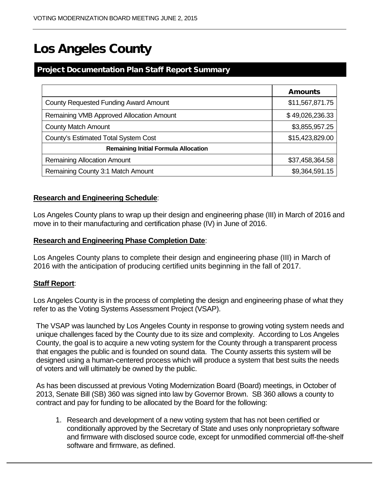# Los Angeles County

# Project Documentation Plan Staff Report Summary

|                                             | <b>Amounts</b>  |  |  |
|---------------------------------------------|-----------------|--|--|
| County Requested Funding Award Amount       | \$11,567,871.75 |  |  |
| Remaining VMB Approved Allocation Amount    | \$49,026,236.33 |  |  |
| <b>County Match Amount</b>                  | \$3,855,957.25  |  |  |
| County's Estimated Total System Cost        | \$15,423,829.00 |  |  |
| <b>Remaining Initial Formula Allocation</b> |                 |  |  |
| <b>Remaining Allocation Amount</b>          | \$37,458,364.58 |  |  |
| Remaining County 3:1 Match Amount           | \$9,364,591.15  |  |  |

# **Research and Engineering Schedule**:

Los Angeles County plans to wrap up their design and engineering phase (III) in March of 2016 and move in to their manufacturing and certification phase (IV) in June of 2016.

# **Research and Engineering Phase Completion Date**:

Los Angeles County plans to complete their design and engineering phase (III) in March of 2016 with the anticipation of producing certified units beginning in the fall of 2017.

# **Staff Report**:

Los Angeles County is in the process of completing the design and engineering phase of what they refer to as the Voting Systems Assessment Project (VSAP).

The VSAP was launched by Los Angeles County in response to growing voting system needs and unique challenges faced by the County due to its size and complexity. According to Los Angeles County, the goal is to acquire a new voting system for the County through a transparent process that engages the public and is founded on sound data. The County asserts this system will be designed using a human-centered process which will produce a system that best suits the needs of voters and will ultimately be owned by the public.

As has been discussed at previous Voting Modernization Board (Board) meetings, in October of 2013, Senate Bill (SB) 360 was signed into law by Governor Brown. SB 360 allows a county to contract and pay for funding to be allocated by the Board for the following:

1. Research and development of a new voting system that has not been certified or conditionally approved by the Secretary of State and uses only nonproprietary software and firmware with disclosed source code, except for unmodified commercial off-the-shelf software and firmware, as defined.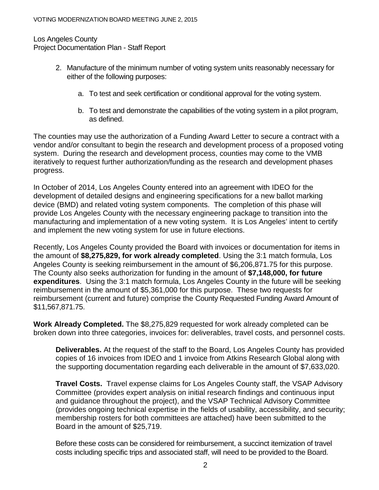# Los Angeles County Project Documentation Plan - Staff Report

- 2. Manufacture of the minimum number of voting system units reasonably necessary for either of the following purposes:
	- a. To test and seek certification or conditional approval for the voting system.
	- b. To test and demonstrate the capabilities of the voting system in a pilot program, as defined.

The counties may use the authorization of a Funding Award Letter to secure a contract with a vendor and/or consultant to begin the research and development process of a proposed voting system. During the research and development process, counties may come to the VMB iteratively to request further authorization/funding as the research and development phases progress.

In October of 2014, Los Angeles County entered into an agreement with IDEO for the development of detailed designs and engineering specifications for a new ballot marking device (BMD) and related voting system components. The completion of this phase will provide Los Angeles County with the necessary engineering package to transition into the manufacturing and implementation of a new voting system. It is Los Angeles' intent to certify and implement the new voting system for use in future elections.

Recently, Los Angeles County provided the Board with invoices or documentation for items in the amount of **\$8,275,829, for work already completed**. Using the 3:1 match formula, Los Angeles County is seeking reimbursement in the amount of \$6,206,871.75 for this purpose. The County also seeks authorization for funding in the amount of **\$7,148,000, for future expenditures**. Using the 3:1 match formula, Los Angeles County in the future will be seeking reimbursement in the amount of \$5,361,000 for this purpose. These two requests for reimbursement (current and future) comprise the County Requested Funding Award Amount of \$11,567,871.75.

**Work Already Completed.** The \$8,275,829 requested for work already completed can be broken down into three categories, invoices for: deliverables, travel costs, and personnel costs.

**Deliverables.** At the request of the staff to the Board, Los Angeles County has provided copies of 16 invoices from IDEO and 1 invoice from Atkins Research Global along with the supporting documentation regarding each deliverable in the amount of \$7,633,020.

**Travel Costs.** Travel expense claims for Los Angeles County staff, the VSAP Advisory Committee (provides expert analysis on initial research findings and continuous input and guidance throughout the project), and the VSAP Technical Advisory Committee (provides ongoing technical expertise in the fields of usability, accessibility, and security; membership rosters for both committees are attached) have been submitted to the Board in the amount of \$25,719.

Before these costs can be considered for reimbursement, a succinct itemization of travel costs including specific trips and associated staff, will need to be provided to the Board.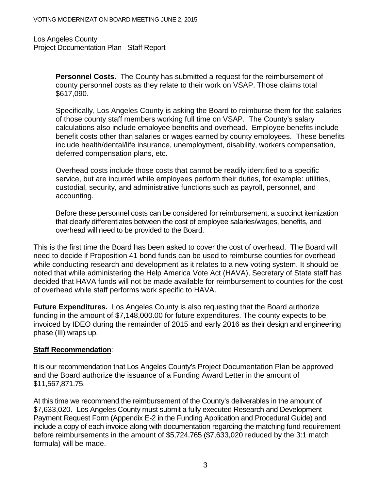Los Angeles County Project Documentation Plan - Staff Report

> **Personnel Costs.** The County has submitted a request for the reimbursement of county personnel costs as they relate to their work on VSAP. Those claims total \$617,090.

Specifically, Los Angeles County is asking the Board to reimburse them for the salaries of those county staff members working full time on VSAP. The County's salary calculations also include employee benefits and overhead. Employee benefits include benefit costs other than salaries or wages earned by county employees. These benefits include health/dental/life insurance, unemployment, disability, workers compensation, deferred compensation plans, etc.

Overhead costs include those costs that cannot be readily identified to a specific service, but are incurred while employees perform their duties, for example: utilities, custodial, security, and administrative functions such as payroll, personnel, and accounting.

Before these personnel costs can be considered for reimbursement, a succinct itemization that clearly differentiates between the cost of employee salaries/wages, benefits, and overhead will need to be provided to the Board.

This is the first time the Board has been asked to cover the cost of overhead. The Board will need to decide if Proposition 41 bond funds can be used to reimburse counties for overhead while conducting research and development as it relates to a new voting system. It should be noted that while administering the Help America Vote Act (HAVA), Secretary of State staff has decided that HAVA funds will not be made available for reimbursement to counties for the cost of overhead while staff performs work specific to HAVA.

**Future Expenditures.** Los Angeles County is also requesting that the Board authorize funding in the amount of \$7,148,000.00 for future expenditures. The county expects to be invoiced by IDEO during the remainder of 2015 and early 2016 as their design and engineering phase (III) wraps up.

# **Staff Recommendation**:

It is our recommendation that Los Angeles County's Project Documentation Plan be approved and the Board authorize the issuance of a Funding Award Letter in the amount of \$11,567,871.75.

At this time we recommend the reimbursement of the County's deliverables in the amount of \$7,633,020. Los Angeles County must submit a fully executed Research and Development Payment Request Form (Appendix E-2 in the Funding Application and Procedural Guide) and include a copy of each invoice along with documentation regarding the matching fund requirement before reimbursements in the amount of \$5,724,765 (\$7,633,020 reduced by the 3:1 match formula) will be made.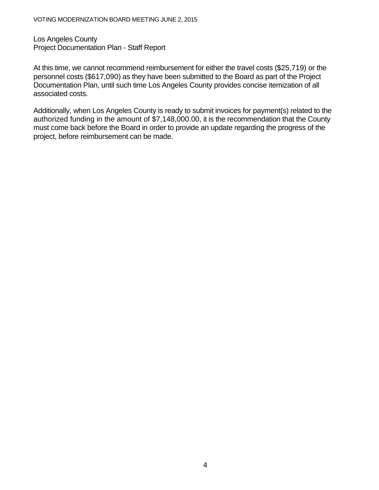Los Angeles County Project Documentation Plan - Staff Report

At this time, we cannot recommend reimbursement for either the travel costs (\$25,719) or the personnel costs (\$617,090) as they have been submitted to the Board as part of the Project Documentation Plan, until such time Los Angeles County provides concise itemization of all associated costs.

Additionally, when Los Angeles County is ready to submit invoices for payment(s) related to the authorized funding in the amount of \$7,148,000.00, it is the recommendation that the County must come back before the Board in order to provide an update regarding the progress of the project, before reimbursement can be made.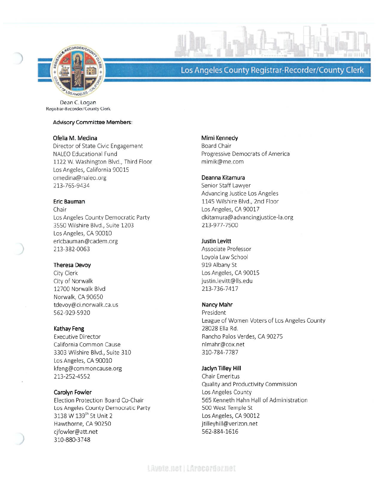

# Los Angeles County Registrar-Recorder/County Clerk

Dean C. Logan Registrar-Recorder/County Clerk

## **Advisory Committee Members:**

## Ofelia M. Medina

Director of State Civic Engagement **NALEO Educational Fund** 1122 W. Washington Blvd., Third Floor Los Angeles, California 90015 omedina@naleo.org 213-765-9434

## Eric Bauman

Chair Los Angeles County Democratic Party 3550 Wilshire Blvd., Suite 1203 Los Angeles, CA 90010 ericbauman@cadem.org 213-382-0063

# Theresa Devoy

City Clerk City of Norwalk 12700 Norwalk Blvd Norwalk, CA 90650 tdevoy@ci.norwalk.ca.us 562-929-5920

#### Kathay Feng

**Executive Director** California Common Cause 3303 Wilshire Blvd., Suite 310 Los Angeles, CA 90010 kfeng@commoncause.org 213-252-4552

#### Carolyn Fowler

Election Protection Board Co-Chair Los Angeles County Democratic Party 3138 W 139th St Unit 2 Hawthorne, CA 90250 cjfowler@att.net 310-880-3748

#### Mimi Kennedy

**Board Chair** Progressive Democrats of America mimik@me.com

## Deanna Kitamura

Senior Staff Lawyer Advancing Justice Los Angeles 1145 Wilshire Blvd., 2nd Floor Los Angeles, CA 90017 dkitamura@advancingjustice-la.org 213-977-7500

# **Justin Levitt**

Associate Professor Loyola Law School 919 Albany St Los Angeles, CA 90015 justin.levitt@lls.edu 213-736-7417

#### Nancy Mahr

President League of Women Voters of Los Angeles County 28028 Ella Rd. Rancho Palos Verdes, CA 90275 nlmahr@cox.net 310-784-7787

## Jaclyn Tilley Hill

Chair Emeritus Quality and Productivity Commission Los Angeles County 565 Kenneth Hahn Hall of Administration 500 West Temple St Los Angeles, CA 90012 jtilleyhill@verizon.net 562-884-1616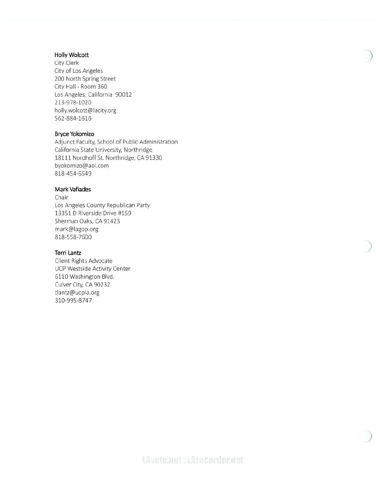# **Holly Wolcott**

City Clerk City of Los Angeles 200 North Spring Street City Hall - Room 360 Los Angeles, California 90012 213-978-1020 holly.wolcott@lacity.org 562-884-1616

#### Bryce Yokomizo

Adjunct Faculty, School of Public Administration California State University, Northridge 18111 Nordhoff St. Northridge, CA 91330 byokomizo@aol.com 818-454-6549

#### **Mark Vafiades**

Chair Los Angeles County Republican Party 13351 D Riverside Drive #159 Sherman Oaks, CA 91423 mark@lagop.org 818-558-7600

#### **Terri Lantz**

Client Rights Advocate UCP Westside Activity Center 6110 Washington Blvd. Culver City, CA 90232 tlantz@ucpla.org 310-995-8747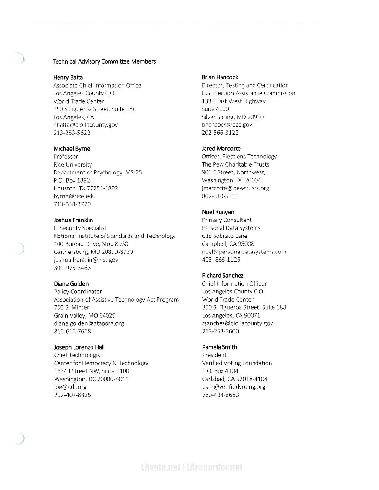#### Technical Advisory Committee Members

#### Henry Balta

Associate Chief Information Office Los Angeles County CIO World Trade Center 350 S Figueroa Street, Suite 188 Los Angeles, CA hbalta@cio.lacounty.gov 213-253-5622

#### Michael Byrne

Professor **Rice University** Department of Psychology, MS-25 P.O. Box 1892 Houston, TX 77251-1892 byrne@rice.edu 713-348-3770

#### Joshua Franklin

IT Security Specialist National Institute of Standards and Technology 100 Bureau Drive, Stop 8930 Gaithersburg, MD 20899-8930 joshua.franklin@nist.gov 301-975-8463

#### Diane Golden

Policy Coordinator Association of Assistive Technology Act Program 700 S. Minter Grain Valley, MO 64029 diane.golden@ataporg.org 816-616-7668

#### Joseph Lorenzo Hall

Chief Technologist Center for Democracy & Technology 1634 | Street NW, Suite 1100 Washington, DC 20006-4011 joe@cdt.org 202-407-8825

#### **Brian Hancock**

Director, Testing and Certification U.S. Election Assistance Commission 1335 East West Highway Suite 4100 Silver Spring, MD 20910 bhancock@eac.gov 202-566-3122

#### Jared Marcotte

Officer, Elections Technology The Pew Charitable Trusts 901 E Street, Northwest, Washington, DC 20004 jmarcotte@pewtrusts.org 802-310-5313

#### Noel Runyan

Primary Consultant Personal Data Systems 638 Sobrato Lane Campbell, CA 95008 noel@personaldatasystems.com 408-866-1126

#### **Richard Sanchez**

Chief Information Officer Los Angeles County CIO World Trade Center 350 S. Figueroa Street, Suite 188 Los Angeles, CA 90071 rsanchez@cio.lacounty.gov 213-253-5600

## Pamela Smith

President Verified Voting Foundation P.O. Box 4104 Carlsbad, CA 92018-4104 pam@verifiedvoting.org 760-434-8683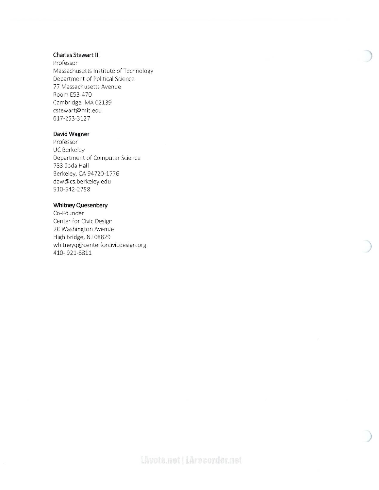# Charles Stewart III

Professor Massachusetts Institute of Technology Department of Political Science 77 Massachusetts Avenue Room E53-470 Cambridge, MA 02139 cstewart@mit.edu 617-253-3127

# David Wagner

Professor **UC Berkeley** Department of Computer Science 733 Soda Hall Berkeley, CA 94720-1776 daw@cs.berkeley.edu 510-642-2758

## Whitney Quesenbery

Co-Founder Center for Civic Design 78 Washington Avenue High Bridge, NJ 08829 whitneyq@centerforcivicdesign.org 410-921-6811